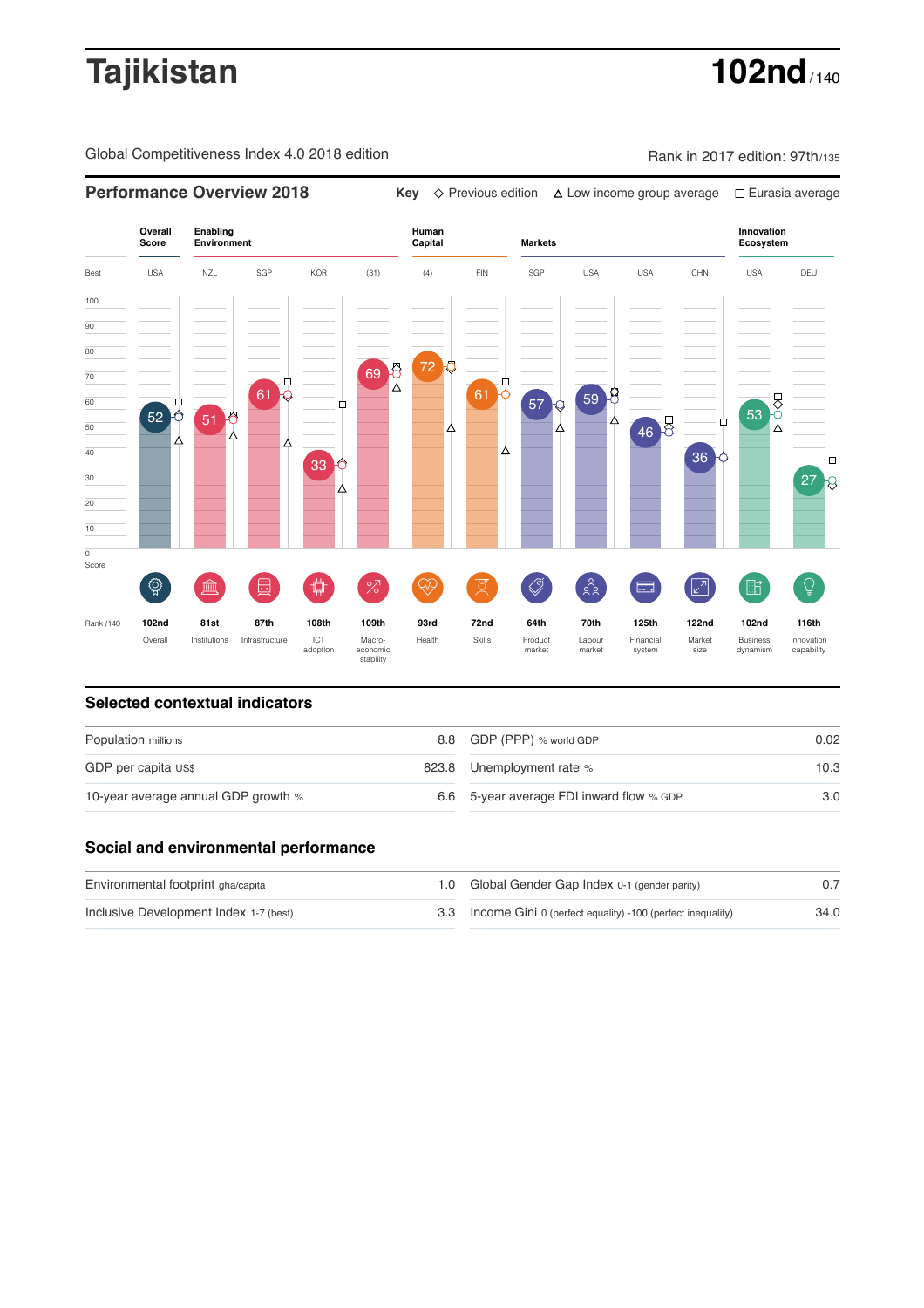# **Tajikistan 102nd**

Global Competitiveness Index 4.0 2018 edition Company Rank in 2017 edition: 97th/135



### **Selected contextual indicators**

| Population millions |  | 0.02                                                                                               |  |
|---------------------|--|----------------------------------------------------------------------------------------------------|--|
|                     |  | 10.3                                                                                               |  |
|                     |  | 3.0                                                                                                |  |
|                     |  | 8.8 GDP (PPP) % world GDP<br>823.8 Unemployment rate %<br>6.6 5-year average FDI inward flow % GDP |  |

## **Social and environmental performance**

| Environmental footprint gha/capita     | 1.0 Global Gender Gap Index 0-1 (gender parity)                |      |
|----------------------------------------|----------------------------------------------------------------|------|
| Inclusive Development Index 1-7 (best) | 3.3 Income Gini 0 (perfect equality) -100 (perfect inequality) | 34.0 |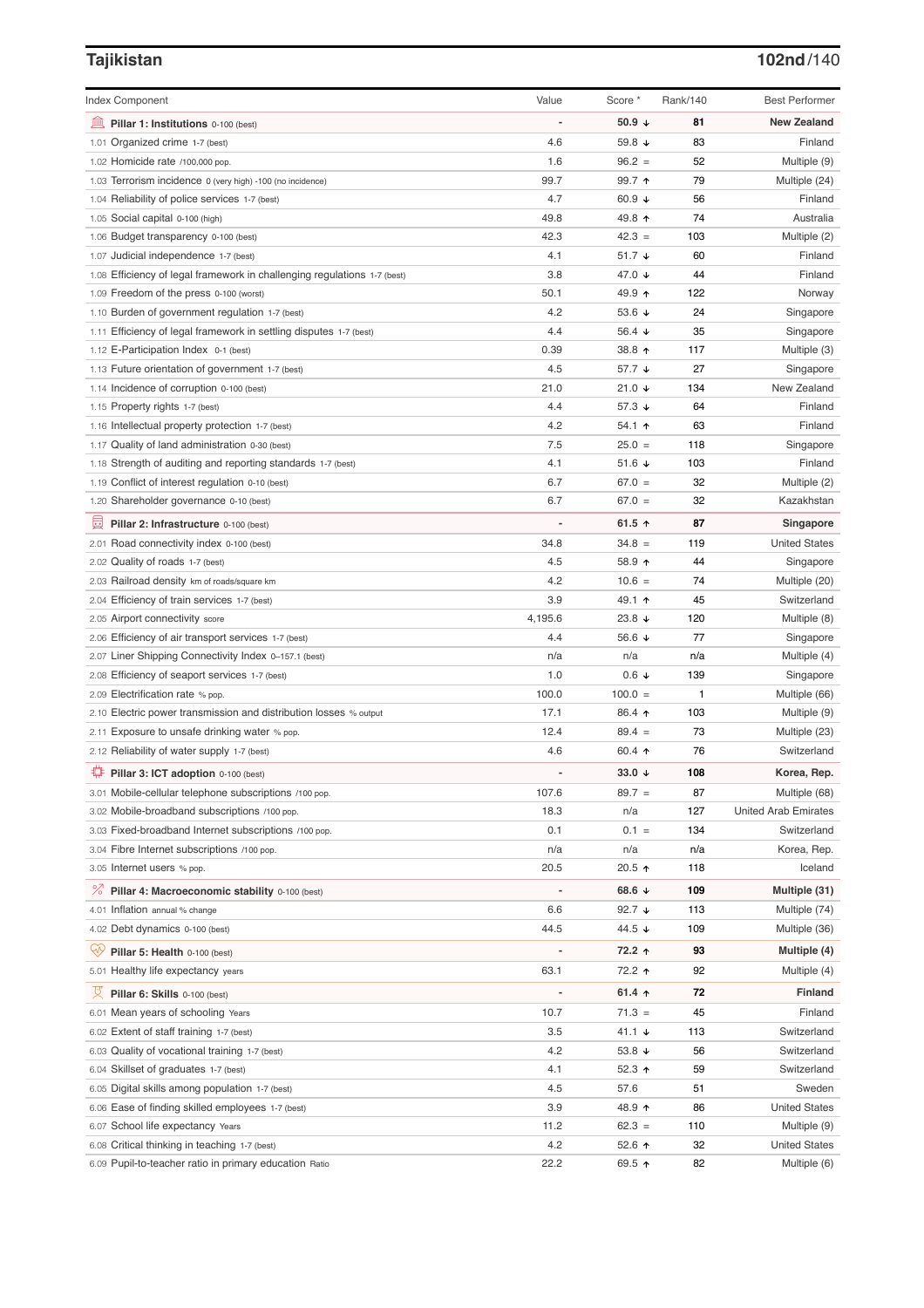## **Tajikistan 102nd**/140

|                                                                          |                | Score *          | Rank/140 |                             |
|--------------------------------------------------------------------------|----------------|------------------|----------|-----------------------------|
| <b>Index Component</b>                                                   | Value          |                  |          | <b>Best Performer</b>       |
| 卹<br>Pillar 1: Institutions 0-100 (best)                                 |                | 50.9 $\sqrt{ }$  | 81       | <b>New Zealand</b>          |
| 1.01 Organized crime 1-7 (best)                                          | 4.6            | 59.8 ↓           | 83       | Finland                     |
| 1.02 Homicide rate /100,000 pop.                                         | 1.6            | $96.2 =$         | 52       | Multiple (9)                |
| 1.03 Terrorism incidence 0 (very high) -100 (no incidence)               | 99.7           | 99.7 ↑           | 79       | Multiple (24)               |
| 1.04 Reliability of police services 1-7 (best)                           | 4.7            | 60.9 $\sqrt{ }$  | 56       | Finland                     |
| 1.05 Social capital 0-100 (high)                                         | 49.8           | 49.8 ↑           | 74       | Australia                   |
| 1.06 Budget transparency 0-100 (best)                                    | 42.3           | $42.3 =$         | 103      | Multiple (2)                |
| 1.07 Judicial independence 1-7 (best)                                    | 4.1            | $51.7 +$         | 60       | Finland                     |
| 1.08 Efficiency of legal framework in challenging regulations 1-7 (best) | 3.8            | 47.0 ↓           | 44       | Finland                     |
| 1.09 Freedom of the press 0-100 (worst)                                  | 50.1           | 49.9 ↑           | 122      | Norway                      |
| 1.10 Burden of government regulation 1-7 (best)                          | 4.2            | 53.6 $\sqrt{ }$  | 24       | Singapore                   |
| 1.11 Efficiency of legal framework in settling disputes 1-7 (best)       | 4.4            | 56.4 $\sqrt{ }$  | 35       | Singapore                   |
| 1.12 E-Participation Index 0-1 (best)                                    | 0.39           | 38.8 个           | 117      | Multiple (3)                |
| 1.13 Future orientation of government 1-7 (best)                         | 4.5            | 57.7 ↓           | 27       | Singapore                   |
| 1.14 Incidence of corruption 0-100 (best)                                | 21.0           | 21.0 $\sqrt{ }$  | 134      | New Zealand                 |
| 1.15 Property rights 1-7 (best)                                          | 4.4            | 57.3 ↓           | 64       | Finland                     |
| 1.16 Intellectual property protection 1-7 (best)                         | 4.2            | 54.1 $\uparrow$  | 63       | Finland                     |
| 1.17 Quality of land administration 0-30 (best)                          | 7.5            | $25.0 =$         | 118      | Singapore                   |
| Strength of auditing and reporting standards 1-7 (best)<br>1.18          | 4.1            | 51.6 $\sqrt{ }$  | 103      | Finland                     |
| 1.19 Conflict of interest regulation 0-10 (best)                         | 6.7            | $67.0 =$         | 32       | Multiple (2)                |
| 1.20 Shareholder governance 0-10 (best)                                  | 6.7            | $67.0 =$         | 32       | Kazakhstan                  |
| 員<br>Pillar 2: Infrastructure 0-100 (best)                               |                | 61.5 $\uparrow$  | 87       | Singapore                   |
| 2.01 Road connectivity index 0-100 (best)                                | 34.8           | $34.8 =$         | 119      | <b>United States</b>        |
| 2.02 Quality of roads 1-7 (best)                                         | 4.5            | 58.9 ↑           | 44       | Singapore                   |
| 2.03 Railroad density km of roads/square km                              | 4.2            | $10.6 =$         | 74       | Multiple (20)               |
| 2.04 Efficiency of train services 1-7 (best)                             | 3.9            | 49.1 ↑           | 45       | Switzerland                 |
| 2.05 Airport connectivity score                                          | 4,195.6        | 23.8 $\sqrt{ }$  | 120      | Multiple (8)                |
| 2.06 Efficiency of air transport services 1-7 (best)                     | 4.4            | 56.6 ↓           | 77       | Singapore                   |
| 2.07 Liner Shipping Connectivity Index 0-157.1 (best)                    | n/a            | n/a              | n/a      | Multiple (4)                |
| 2.08 Efficiency of seaport services 1-7 (best)                           | 1.0            | $0.6 \downarrow$ | 139      | Singapore                   |
| 2.09 Electrification rate % pop.                                         | 100.0          | $100.0 =$        | 1        | Multiple (66)               |
| 2.10 Electric power transmission and distribution losses % output        | 17.1           | 86.4 ↑           | 103      | Multiple (9)                |
| 2.11 Exposure to unsafe drinking water % pop.                            | 12.4           | $89.4 =$         | 73       | Multiple (23)               |
| 2.12 Reliability of water supply 1-7 (best)                              | 4.6            | 60.4 $\uparrow$  | 76       | Switzerland                 |
| ₩<br>Pillar 3: ICT adoption 0-100 (best)                                 |                | 33.0 $\sqrt{ }$  | 108      | Korea, Rep.                 |
| 3.01 Mobile-cellular telephone subscriptions /100 pop.                   | 107.6          | $89.7 =$         | 87       | Multiple (68)               |
| 3.02 Mobile-broadband subscriptions /100 pop.                            | 18.3           | n/a              | 127      | <b>United Arab Emirates</b> |
| 3.03 Fixed-broadband Internet subscriptions /100 pop.                    | 0.1            | $0.1 =$          | 134      | Switzerland                 |
| 3.04 Fibre Internet subscriptions /100 pop.                              | n/a            | n/a              | n/a      | Korea, Rep.                 |
| 3.05 Internet users % pop.                                               | 20.5           | 20.5 ↑           | 118      | Iceland                     |
| <sup>%</sup> Pillar 4: Macroeconomic stability 0-100 (best)              | $\overline{a}$ | 68.6 ↓           | 109      | Multiple (31)               |
| 4.01 Inflation annual % change                                           | 6.6            | 92.7 $\sqrt{ }$  | 113      | Multiple (74)               |
| 4.02 Debt dynamics 0-100 (best)                                          | 44.5           | 44.5 ↓           | 109      | Multiple (36)               |
| ₩<br>Pillar 5: Health 0-100 (best)                                       |                | 72.2 ↑           | 93       | Multiple (4)                |
|                                                                          | 63.1           |                  | 92       |                             |
| 5.01 Healthy life expectancy years                                       |                | 72.2 ተ           |          | Multiple (4)                |
| 섯<br>Pillar 6: Skills 0-100 (best)                                       |                | 61.4 $\uparrow$  | 72       | <b>Finland</b>              |
| 6.01 Mean years of schooling Years                                       | 10.7           | $71.3 =$         | 45       | Finland                     |
| 6.02 Extent of staff training 1-7 (best)                                 | 3.5            | 41.1 $\sqrt{ }$  | 113      | Switzerland                 |
| 6.03 Quality of vocational training 1-7 (best)                           | 4.2            | 53.8 $\sqrt{ }$  | 56       | Switzerland                 |
| 6.04 Skillset of graduates 1-7 (best)                                    | 4.1            | 52.3 $\uparrow$  | 59       | Switzerland                 |
| 6.05 Digital skills among population 1-7 (best)                          | 4.5            | 57.6             | 51       | Sweden                      |
| 6.06 Ease of finding skilled employees 1-7 (best)                        | 3.9            | 48.9 ↑           | 86       | <b>United States</b>        |
| 6.07 School life expectancy Years                                        | 11.2           | $62.3 =$         | 110      | Multiple (9)                |
| 6.08 Critical thinking in teaching 1-7 (best)                            | 4.2            | 52.6 $\uparrow$  | 32       | <b>United States</b>        |
| 6.09 Pupil-to-teacher ratio in primary education Ratio                   | 22.2           | 69.5 ↑           | 82       | Multiple (6)                |